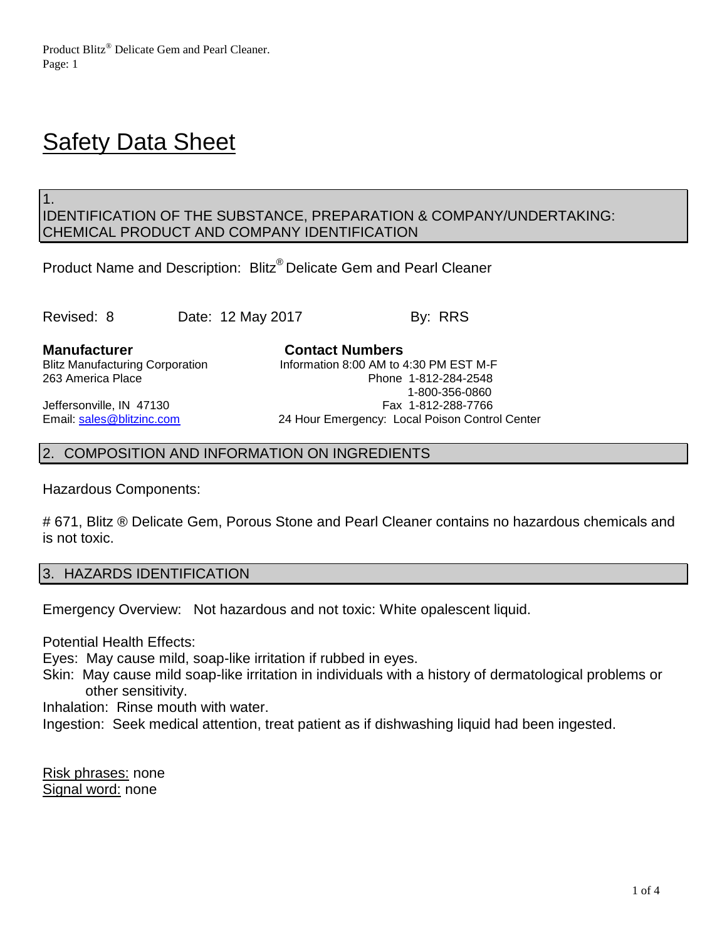# **Safety Data Sheet**

1.

## IDENTIFICATION OF THE SUBSTANCE, PREPARATION & COMPANY/UNDERTAKING: CHEMICAL PRODUCT AND COMPANY IDENTIFICATION

Product Name and Description: Blitz® Delicate Gem and Pearl Cleaner

Revised: 8 Date: 12 May 2017 By: RRS

**Manufacturer Contact Numbers** Blitz Manufacturing Corporation **Information 8:00 AM to 4:30 PM EST M-F** 263 America Place Phone 1-812-284-2548 1-800-356-0860 Jeffersonville, IN 47130 **Fax 1-812-288-7766** Email: [sales@blitzinc.com](mailto:sales@blitzinc.com) 24 Hour Emergency: Local Poison Control Center

## 2. COMPOSITION AND INFORMATION ON INGREDIENTS

Hazardous Components:

# 671, Blitz ® Delicate Gem, Porous Stone and Pearl Cleaner contains no hazardous chemicals and is not toxic.

## 3. HAZARDS IDENTIFICATION

Emergency Overview: Not hazardous and not toxic: White opalescent liquid.

Potential Health Effects:

Eyes: May cause mild, soap-like irritation if rubbed in eyes.

Skin: May cause mild soap-like irritation in individuals with a history of dermatological problems or other sensitivity.

Inhalation: Rinse mouth with water.

Ingestion: Seek medical attention, treat patient as if dishwashing liquid had been ingested.

Risk phrases: none Signal word: none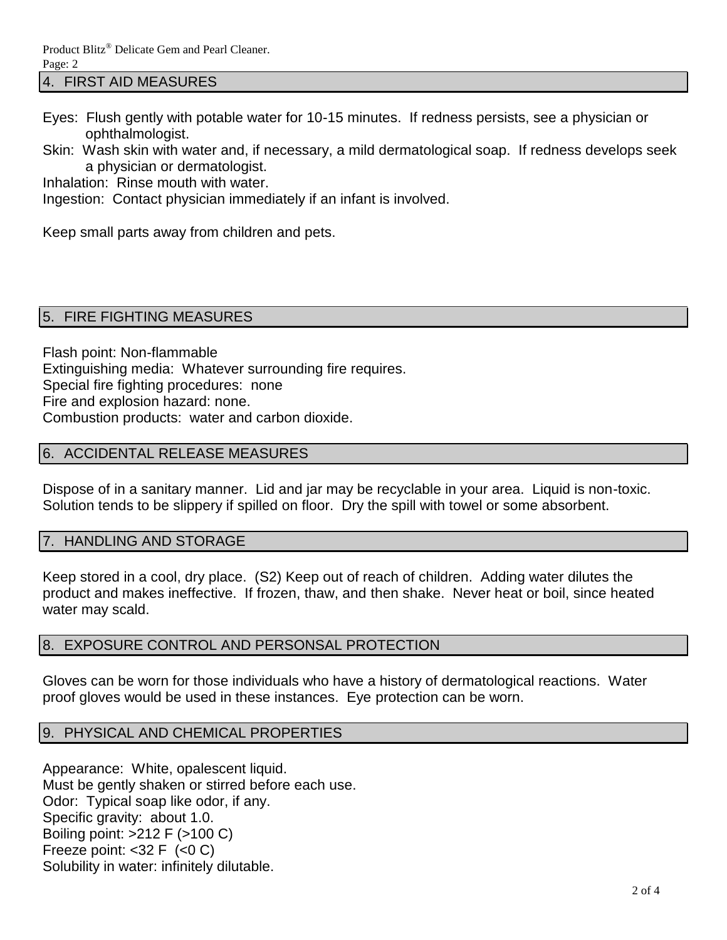4. FIRST AID MEASURES

- Eyes: Flush gently with potable water for 10-15 minutes. If redness persists, see a physician or ophthalmologist.
- Skin: Wash skin with water and, if necessary, a mild dermatological soap. If redness develops seek a physician or dermatologist.

Inhalation: Rinse mouth with water.

Ingestion: Contact physician immediately if an infant is involved.

Keep small parts away from children and pets.

## 5. FIRE FIGHTING MEASURES

Flash point: Non-flammable Extinguishing media: Whatever surrounding fire requires. Special fire fighting procedures: none Fire and explosion hazard: none. Combustion products: water and carbon dioxide.

## 6. ACCIDENTAL RELEASE MEASURES

Dispose of in a sanitary manner. Lid and jar may be recyclable in your area. Liquid is non-toxic. Solution tends to be slippery if spilled on floor. Dry the spill with towel or some absorbent.

## 7. HANDLING AND STORAGE

Keep stored in a cool, dry place. (S2) Keep out of reach of children. Adding water dilutes the product and makes ineffective. If frozen, thaw, and then shake. Never heat or boil, since heated water may scald.

## 8. EXPOSURE CONTROL AND PERSONSAL PROTECTION

Gloves can be worn for those individuals who have a history of dermatological reactions. Water proof gloves would be used in these instances. Eye protection can be worn.

## 9. PHYSICAL AND CHEMICAL PROPERTIES

Appearance: White, opalescent liquid. Must be gently shaken or stirred before each use. Odor: Typical soap like odor, if any. Specific gravity: about 1.0. Boiling point: >212 F (>100 C) Freeze point:  $<$ 32 F  $(<$ 0 C) Solubility in water: infinitely dilutable.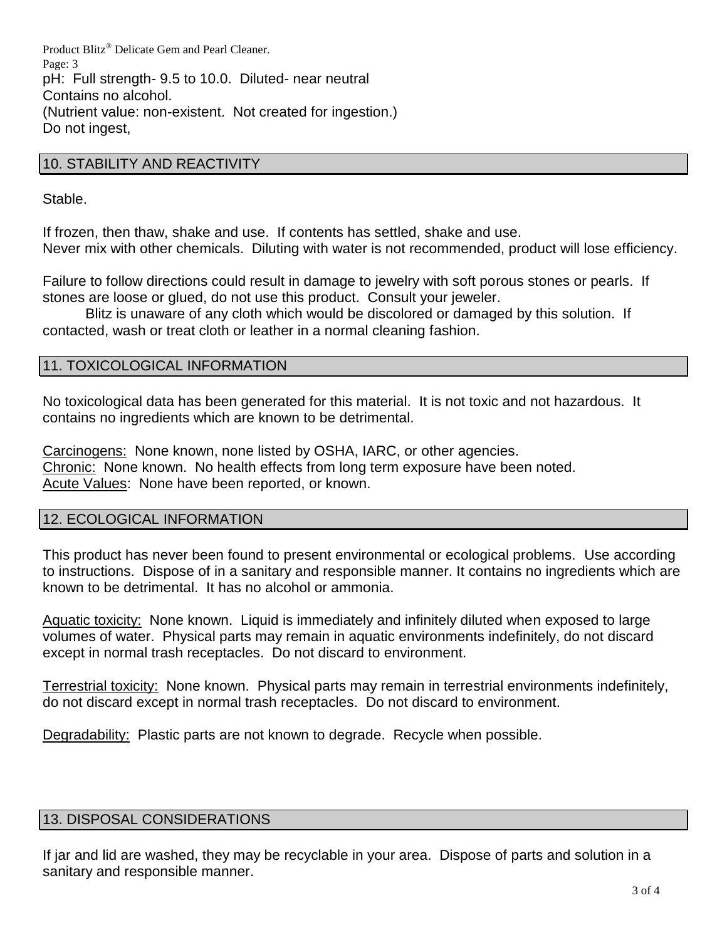Product Blitz® Delicate Gem and Pearl Cleaner. Page: 3 pH: Full strength- 9.5 to 10.0. Diluted- near neutral Contains no alcohol. (Nutrient value: non-existent. Not created for ingestion.) Do not ingest,

#### 10. STABILITY AND REACTIVITY

Stable.

If frozen, then thaw, shake and use. If contents has settled, shake and use. Never mix with other chemicals. Diluting with water is not recommended, product will lose efficiency.

Failure to follow directions could result in damage to jewelry with soft porous stones or pearls. If stones are loose or glued, do not use this product. Consult your jeweler.

Blitz is unaware of any cloth which would be discolored or damaged by this solution. If contacted, wash or treat cloth or leather in a normal cleaning fashion.

#### 11. TOXICOLOGICAL INFORMATION

No toxicological data has been generated for this material. It is not toxic and not hazardous. It contains no ingredients which are known to be detrimental.

Carcinogens: None known, none listed by OSHA, IARC, or other agencies. Chronic: None known. No health effects from long term exposure have been noted. Acute Values: None have been reported, or known.

#### 12. ECOLOGICAL INFORMATION

This product has never been found to present environmental or ecological problems. Use according to instructions. Dispose of in a sanitary and responsible manner. It contains no ingredients which are known to be detrimental. It has no alcohol or ammonia.

Aquatic toxicity: None known. Liquid is immediately and infinitely diluted when exposed to large volumes of water. Physical parts may remain in aquatic environments indefinitely, do not discard except in normal trash receptacles. Do not discard to environment.

Terrestrial toxicity: None known. Physical parts may remain in terrestrial environments indefinitely, do not discard except in normal trash receptacles. Do not discard to environment.

Degradability: Plastic parts are not known to degrade. Recycle when possible.

#### 13. DISPOSAL CONSIDERATIONS

If jar and lid are washed, they may be recyclable in your area. Dispose of parts and solution in a sanitary and responsible manner.